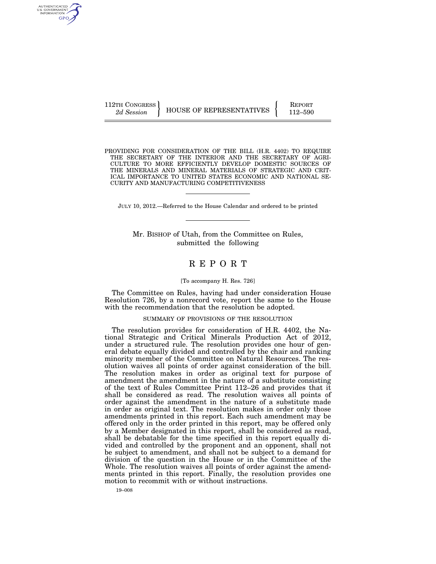AUTHENTICATED U.S. GOVERNMENT GPO

112TH CONGRESS HOUSE OF REPRESENTATIVES FEPORT 112–590

PROVIDING FOR CONSIDERATION OF THE BILL (H.R. 4402) TO REQUIRE THE SECRETARY OF THE INTERIOR AND THE SECRETARY OF AGRI-CULTURE TO MORE EFFICIENTLY DEVELOP DOMESTIC SOURCES OF THE MINERALS AND MINERAL MATERIALS OF STRATEGIC AND CRIT-ICAL IMPORTANCE TO UNITED STATES ECONOMIC AND NATIONAL SE-CURITY AND MANUFACTURING COMPETITIVENESS

JULY 10, 2012.—Referred to the House Calendar and ordered to be printed

Mr. BISHOP of Utah, from the Committee on Rules, submitted the following

# R E P O R T

### [To accompany H. Res. 726]

The Committee on Rules, having had under consideration House Resolution 726, by a nonrecord vote, report the same to the House with the recommendation that the resolution be adopted.

#### SUMMARY OF PROVISIONS OF THE RESOLUTION

The resolution provides for consideration of H.R. 4402, the National Strategic and Critical Minerals Production Act of 2012, under a structured rule. The resolution provides one hour of general debate equally divided and controlled by the chair and ranking minority member of the Committee on Natural Resources. The resolution waives all points of order against consideration of the bill. The resolution makes in order as original text for purpose of amendment the amendment in the nature of a substitute consisting of the text of Rules Committee Print 112–26 and provides that it shall be considered as read. The resolution waives all points of order against the amendment in the nature of a substitute made in order as original text. The resolution makes in order only those amendments printed in this report. Each such amendment may be offered only in the order printed in this report, may be offered only by a Member designated in this report, shall be considered as read, shall be debatable for the time specified in this report equally divided and controlled by the proponent and an opponent, shall not be subject to amendment, and shall not be subject to a demand for division of the question in the House or in the Committee of the Whole. The resolution waives all points of order against the amendments printed in this report. Finally, the resolution provides one motion to recommit with or without instructions.

19–008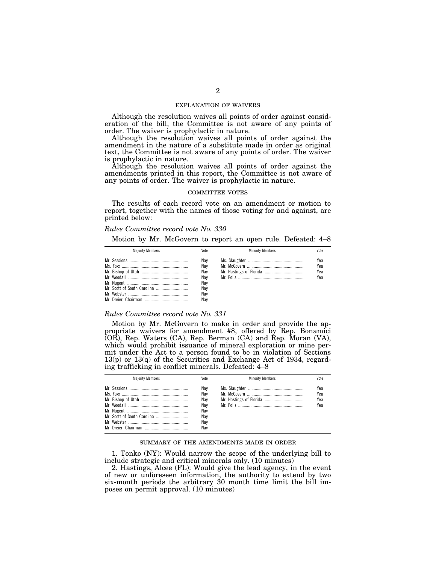## EXPLANATION OF WAIVERS

Although the resolution waives all points of order against consideration of the bill, the Committee is not aware of any points of order. The waiver is prophylactic in nature.

Although the resolution waives all points of order against the amendment in the nature of a substitute made in order as original text, the Committee is not aware of any points of order. The waiver is prophylactic in nature.

Although the resolution waives all points of order against the amendments printed in this report, the Committee is not aware of any points of order. The waiver is prophylactic in nature.

# COMMITTEE VOTES

The results of each record vote on an amendment or motion to report, together with the names of those voting for and against, are printed below:

### *Rules Committee record vote No. 330*

Motion by Mr. McGovern to report an open rule. Defeated: 4–8

| <b>Maiority Members</b> | Vote                                                 | <b>Minority Members</b> | Vote                     |
|-------------------------|------------------------------------------------------|-------------------------|--------------------------|
|                         | Nav<br>Nay<br>Nav<br>Nav<br>Nay<br>Nay<br>Nay<br>Nav |                         | Yea<br>Yea<br>Yea<br>Yea |

## *Rules Committee record vote No. 331*

Motion by Mr. McGovern to make in order and provide the appropriate waivers for amendment #8, offered by Rep. Bonamici (OR), Rep. Waters (CA), Rep. Berman (CA) and Rep. Moran (VA), which would prohibit issuance of mineral exploration or mine permit under the Act to a person found to be in violation of Sections 13(p) or 13(q) of the Securities and Exchange Act of 1934, regarding trafficking in conflict minerals. Defeated: 4–8

| <b>Maiority Members</b> | Vote                                                 | <b>Minority Members</b> | Vote                     |
|-------------------------|------------------------------------------------------|-------------------------|--------------------------|
|                         | Nav<br>Nav<br>Nav<br>Nav<br>Nav<br>Nav<br>Nay<br>Nav |                         | Yea<br>Yea<br>Yea<br>Yea |

## SUMMARY OF THE AMENDMENTS MADE IN ORDER

1. Tonko (NY): Would narrow the scope of the underlying bill to include strategic and critical minerals only. (10 minutes)

2. Hastings, Alcee (FL): Would give the lead agency, in the event of new or unforeseen information, the authority to extend by two six-month periods the arbitrary 30 month time limit the bill imposes on permit approval. (10 minutes)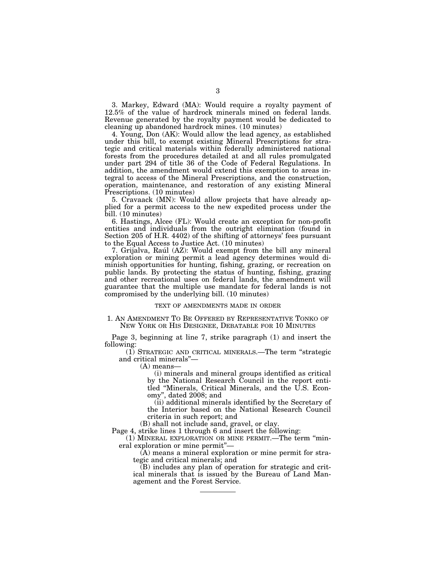3. Markey, Edward (MA): Would require a royalty payment of 12.5% of the value of hardrock minerals mined on federal lands. Revenue generated by the royalty payment would be dedicated to cleaning up abandoned hardrock mines. (10 minutes)

4. Young, Don (AK): Would allow the lead agency, as established under this bill, to exempt existing Mineral Prescriptions for strategic and critical materials within federally administered national forests from the procedures detailed at and all rules promulgated under part 294 of title 36 of the Code of Federal Regulations. In addition, the amendment would extend this exemption to areas integral to access of the Mineral Prescriptions, and the construction, operation, maintenance, and restoration of any existing Mineral Prescriptions. (10 minutes)

5. Cravaack (MN): Would allow projects that have already applied for a permit access to the new expedited process under the bill. (10 minutes)

6. Hastings, Alcee (FL): Would create an exception for non-profit entities and individuals from the outright elimination (found in Section 205 of H.R. 4402) of the shifting of attorneys' fees pursuant to the Equal Access to Justice Act. (10 minutes)

7. Grijalva, Raúl (AZ): Would exempt from the bill any mineral exploration or mining permit a lead agency determines would diminish opportunities for hunting, fishing, grazing, or recreation on public lands. By protecting the status of hunting, fishing, grazing and other recreational uses on federal lands, the amendment will guarantee that the multiple use mandate for federal lands is not compromised by the underlying bill. (10 minutes)

### TEXT OF AMENDMENTS MADE IN ORDER

# 1. AN AMENDMENT TO BE OFFERED BY REPRESENTATIVE TONKO OF NEW YORK OR HIS DESIGNEE, DEBATABLE FOR 10 MINUTES

Page 3, beginning at line 7, strike paragraph (1) and insert the following:

(1) STRATEGIC AND CRITICAL MINERALS.—The term ''strategic and critical minerals''—

(A) means—

(i) minerals and mineral groups identified as critical by the National Research Council in the report entitled ''Minerals, Critical Minerals, and the U.S. Economy'', dated 2008; and

(ii) additional minerals identified by the Secretary of the Interior based on the National Research Council criteria in such report; and

(B) shall not include sand, gravel, or clay.

Page 4, strike lines 1 through 6 and insert the following:

(1) MINERAL EXPLORATION OR MINE PERMIT.—The term ''mineral exploration or mine permit''—

(A) means a mineral exploration or mine permit for strategic and critical minerals; and

(B) includes any plan of operation for strategic and critical minerals that is issued by the Bureau of Land Management and the Forest Service.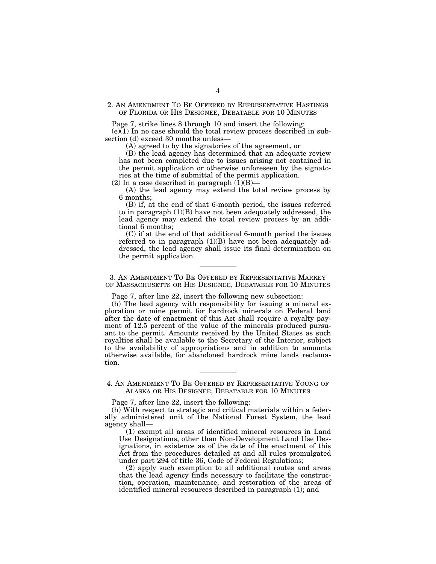# 2. AN AMENDMENT TO BE OFFERED BY REPRESENTATIVE HASTINGS OF FLORIDA OR HIS DESIGNEE, DEBATABLE FOR 10 MINUTES

Page 7, strike lines 8 through 10 and insert the following:

 $(e)(1)$  In no case should the total review process described in subsection (d) exceed 30 months unless—

(A) agreed to by the signatories of the agreement, or

(B) the lead agency has determined that an adequate review has not been completed due to issues arising not contained in the permit application or otherwise unforeseen by the signatories at the time of submittal of the permit application.

(2) In a case described in paragraph  $(1)(B)$ —

(A) the lead agency may extend the total review process by 6 months;

(B) if, at the end of that 6-month period, the issues referred to in paragraph (1)(B) have not been adequately addressed, the lead agency may extend the total review process by an additional 6 months;

(C) if at the end of that additional 6-month period the issues referred to in paragraph (1)(B) have not been adequately addressed, the lead agency shall issue its final determination on the permit application.

3. AN AMENDMENT TO BE OFFERED BY REPRESENTATIVE MARKEY OF MASSACHUSETTS OR HIS DESIGNEE, DEBATABLE FOR 10 MINUTES

Page 7, after line 22, insert the following new subsection:

(h) The lead agency with responsibility for issuing a mineral exploration or mine permit for hardrock minerals on Federal land after the date of enactment of this Act shall require a royalty payment of 12.5 percent of the value of the minerals produced pursuant to the permit. Amounts received by the United States as such royalties shall be available to the Secretary of the Interior, subject to the availability of appropriations and in addition to amounts otherwise available, for abandoned hardrock mine lands reclamation.

4. AN AMENDMENT TO BE OFFERED BY REPRESENTATIVE YOUNG OF ALASKA OR HIS DESIGNEE, DEBATABLE FOR 10 MINUTES

Page 7, after line 22, insert the following:

(h) With respect to strategic and critical materials within a federally administered unit of the National Forest System, the lead agency shall—

(1) exempt all areas of identified mineral resources in Land Use Designations, other than Non-Development Land Use Designations, in existence as of the date of the enactment of this Act from the procedures detailed at and all rules promulgated under part 294 of title 36, Code of Federal Regulations;

(2) apply such exemption to all additional routes and areas that the lead agency finds necessary to facilitate the construction, operation, maintenance, and restoration of the areas of identified mineral resources described in paragraph (1); and